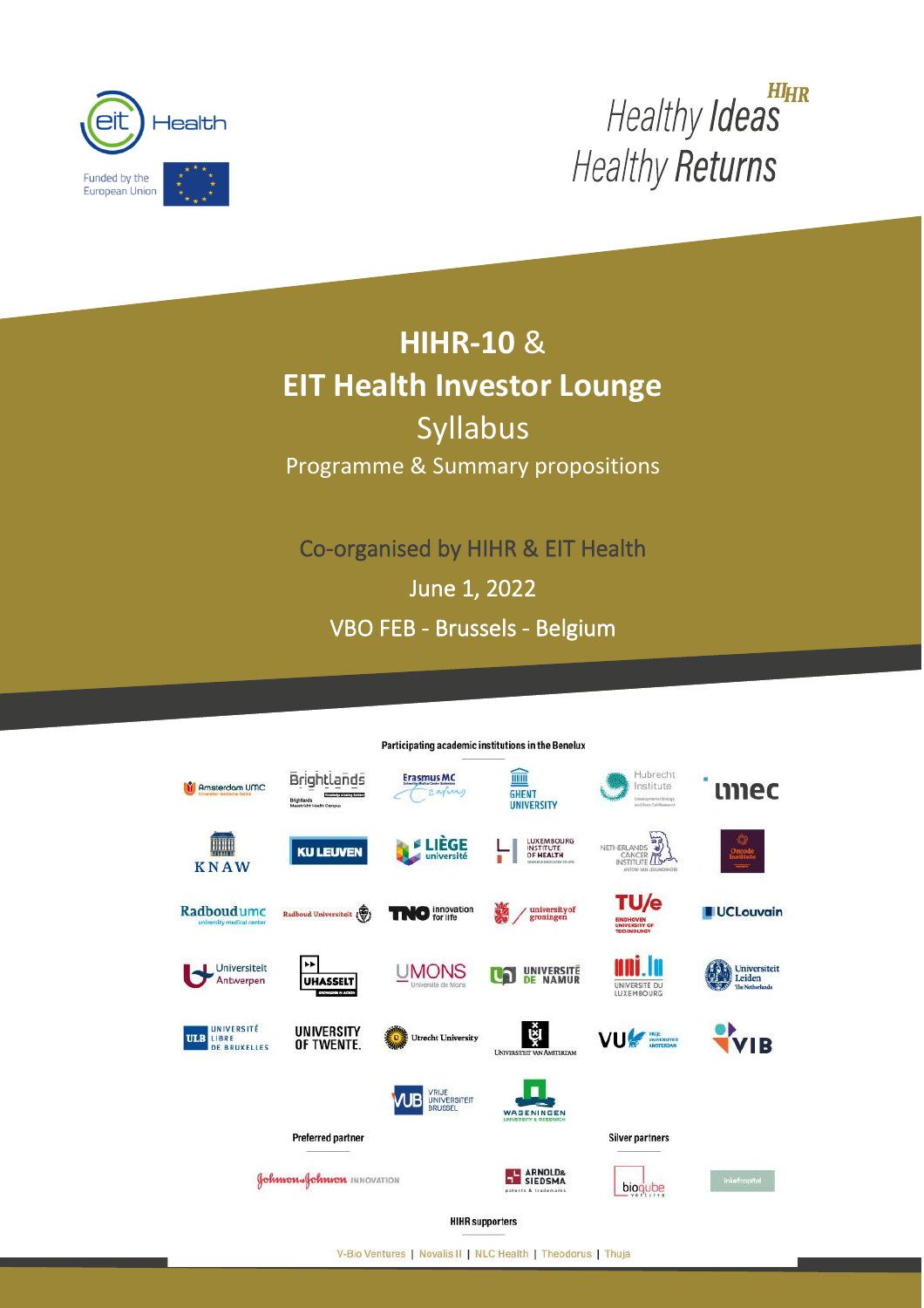

HIHR Healthy Ideas **Healthy Returns** 

# **HIHR-10** & **EIT Health Investor Lounge** Syllabus Programme & Summary propositions

l,

Co-organised by HIHR & EIT Health

June 1, 2022

VBO FEB - Brussels - Belgium

I



**HIHR supporters** 

V-Bio Ventures | Novalis II | NLC Health | Theodorus | Thuja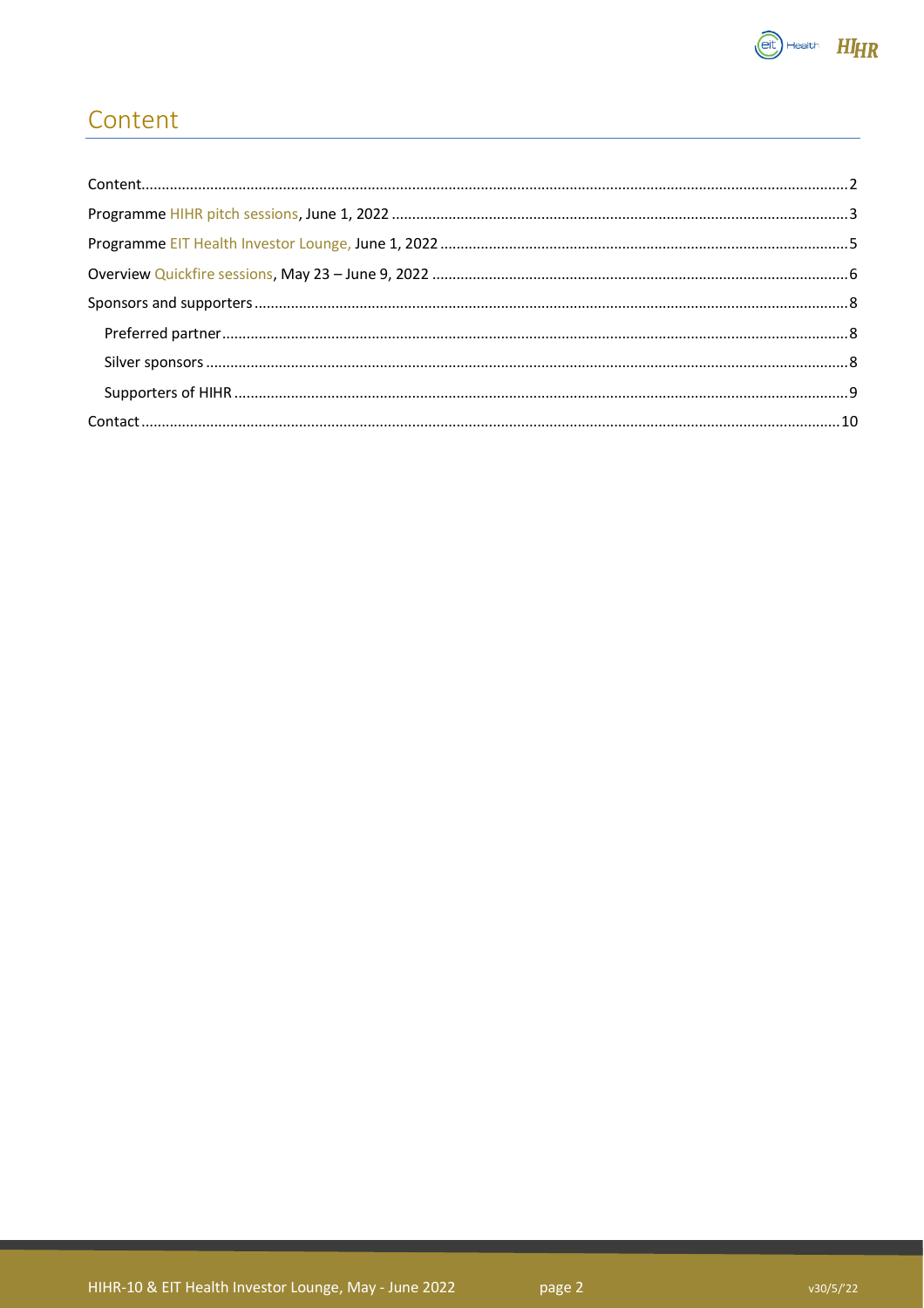

## <span id="page-1-0"></span>Content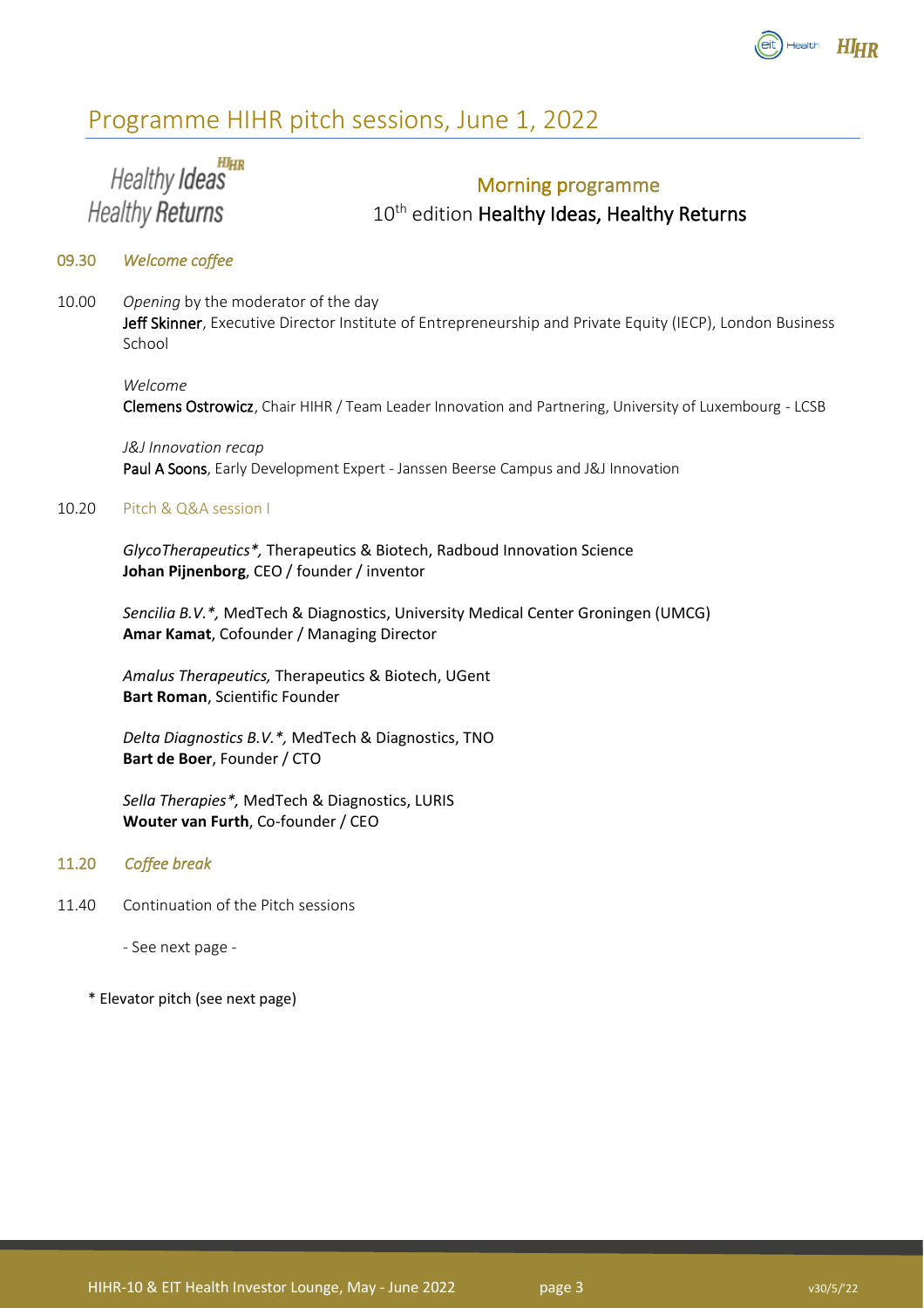

## <span id="page-2-0"></span>Programme HIHR pitch sessions, June 1, 2022

HIHR Healthy Ideas **Healthy Returns** 

## Morning programme

10<sup>th</sup> edition Healthy Ideas, Healthy Returns

### 09.30 *Welcome coffee*

10.00 *Opening* by the moderator of the day Jeff Skinner, Executive Director Institute of Entrepreneurship and Private Equity (IECP), London Business School

### *Welcome*

Clemens Ostrowicz, Chair HIHR / Team Leader Innovation and Partnering, University of Luxembourg - LCSB

*J&J Innovation recap* Paul A Soons, Early Development Expert - Janssen Beerse Campus and J&J Innovation

### 10.20 Pitch & Q&A session I

*GlycoTherapeutics\*,* Therapeutics & Biotech, Radboud Innovation Science **Johan Pijnenborg**, CEO / founder / inventor

*Sencilia B.V.\*,* MedTech & Diagnostics, University Medical Center Groningen (UMCG) **Amar Kamat**, Cofounder / Managing Director

*Amalus Therapeutics,* Therapeutics & Biotech, UGent **Bart Roman**, Scientific Founder

*Delta Diagnostics B.V.\*,* MedTech & Diagnostics, TNO **Bart de Boer**, Founder / CTO

*Sella Therapies\*,* MedTech & Diagnostics, LURIS **Wouter van Furth**, Co-founder / CEO

### 11.20 *Coffee break*

11.40 Continuation of the Pitch sessions

- See next page -

\* Elevator pitch (see next page)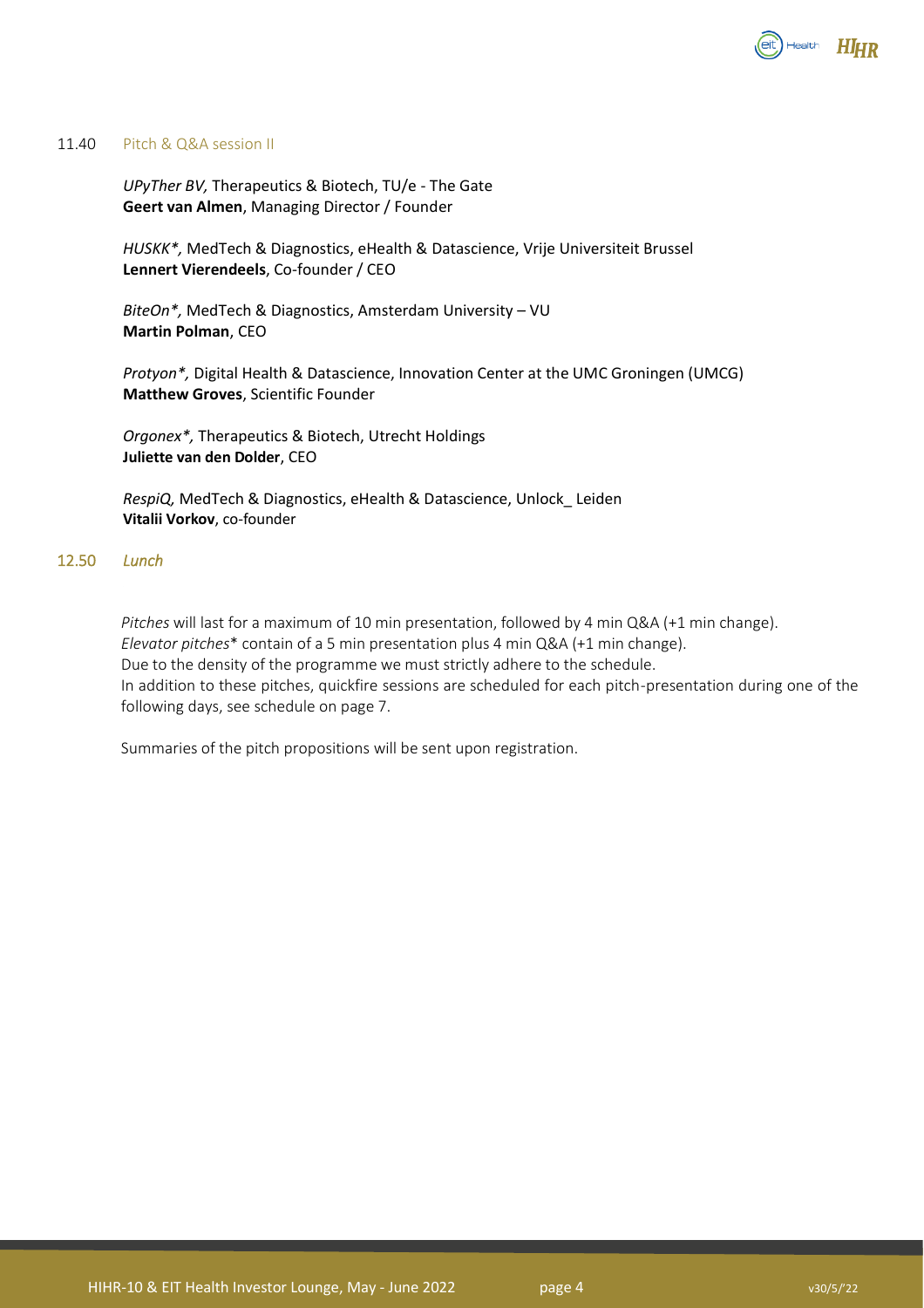

### 11.40 Pitch & Q&A session II

*UPyTher BV,* Therapeutics & Biotech, TU/e - The Gate **Geert van Almen**, Managing Director / Founder

*HUSKK\*,* MedTech & Diagnostics, eHealth & Datascience, Vrije Universiteit Brussel **Lennert Vierendeels**, Co-founder / CEO

*BiteOn\*,* MedTech & Diagnostics, Amsterdam University – VU **Martin Polman**, CEO

*Protyon\*,* Digital Health & Datascience, Innovation Center at the UMC Groningen (UMCG) **Matthew Groves**, Scientific Founder

*Orgonex\*,* Therapeutics & Biotech, Utrecht Holdings **Juliette van den Dolder**, CEO

*RespiQ,* MedTech & Diagnostics, eHealth & Datascience, Unlock\_ Leiden **Vitalii Vorkov**, co-founder

### 12.50 *Lunch*

*Pitches* will last for a maximum of 10 min presentation, followed by 4 min Q&A (+1 min change). *Elevator pitches*\* contain of a 5 min presentation plus 4 min Q&A (+1 min change). Due to the density of the programme we must strictly adhere to the schedule. In addition to these pitches, quickfire sessions are scheduled for each pitch-presentation during one of the following days, see schedule on page 7.

Summaries of the pitch propositions will be sent upon registration.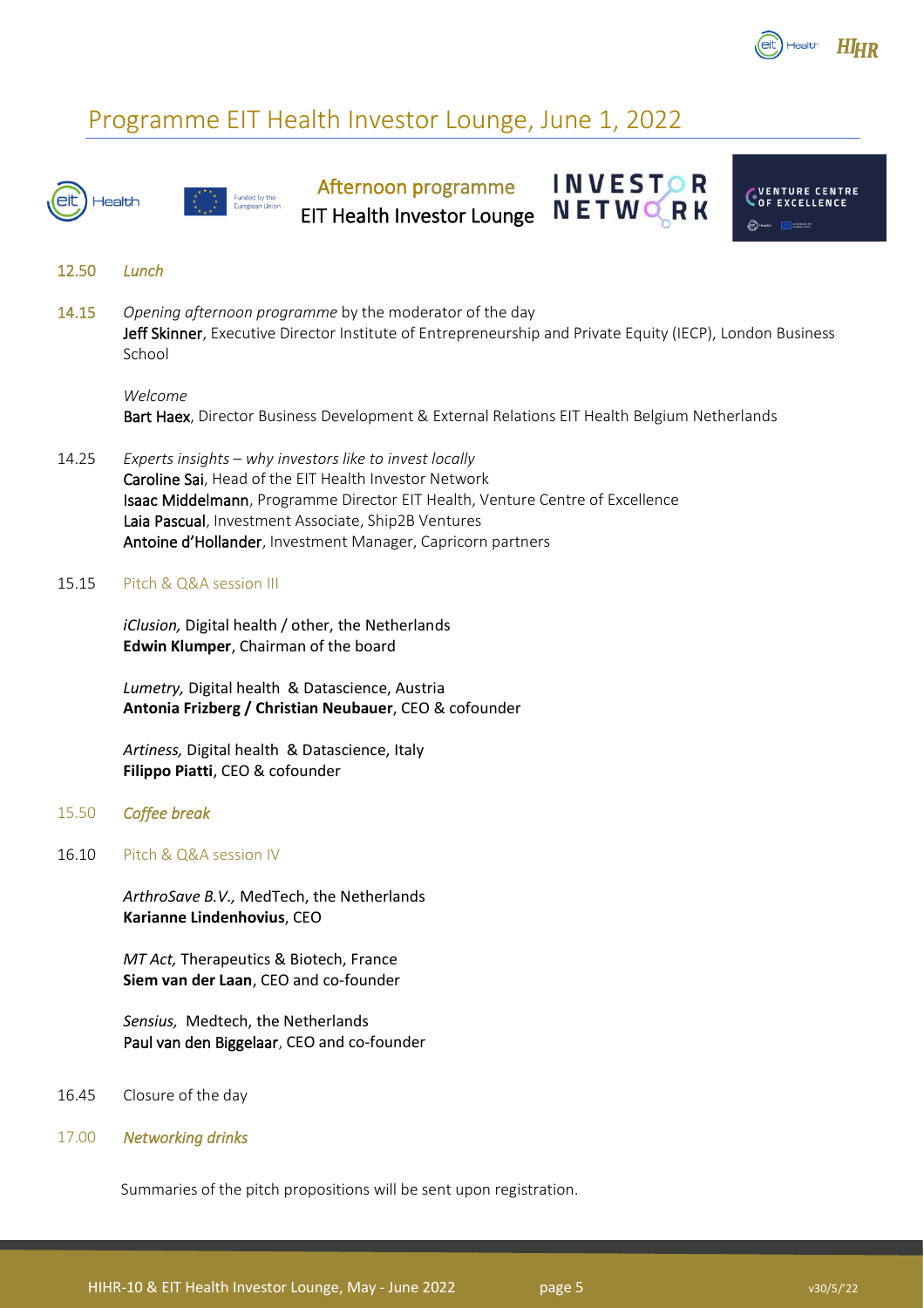

CVENTURE CENTRE

**INVESTOR** 

NETWORK

## <span id="page-4-0"></span>Programme EIT Health Investor Lounge, June 1, 2022



Afternoon programme EIT Health Investor Lounge



14.15 *Opening afternoon programme* by the moderator of the day Jeff Skinner, Executive Director Institute of Entrepreneurship and Private Equity (IECP), London Business School

### *Welcome*

Bart Haex, Director Business Development & External Relations EIT Health Belgium Netherlands

14.25 *Experts insights* – *why investors like to invest locally* Caroline Sai, Head of the EIT Health Investor Network Isaac Middelmann, Programme Director EIT Health, Venture Centre of Excellence Laia Pascual, Investment Associate, Ship2B Ventures Antoine d'Hollander, Investment Manager, Capricorn partners

### 15.15 Pitch & Q&A session III

*iClusion,* Digital health / other, the Netherlands **Edwin Klumper**, Chairman of the board

ded by the

*Lumetry,* Digital health & Datascience, Austria **Antonia Frizberg / Christian Neubauer**, CEO & cofounder

*Artiness,* Digital health & Datascience, Italy **Filippo Piatti**, CEO & cofounder

### 15.50 *Coffee break*

16.10 Pitch & Q&A session IV

*ArthroSave B.V.,* MedTech, the Netherlands **Karianne Lindenhovius**, CEO

*MT Act,* Therapeutics & Biotech, France **Siem van der Laan**, CEO and co-founder

*Sensius,* Medtech, the Netherlands Paul van den Biggelaar, CEO and co-founder

16.45 Closure of the day

### 17.00 *Networking drinks*

Summaries of the pitch propositions will be sent upon registration.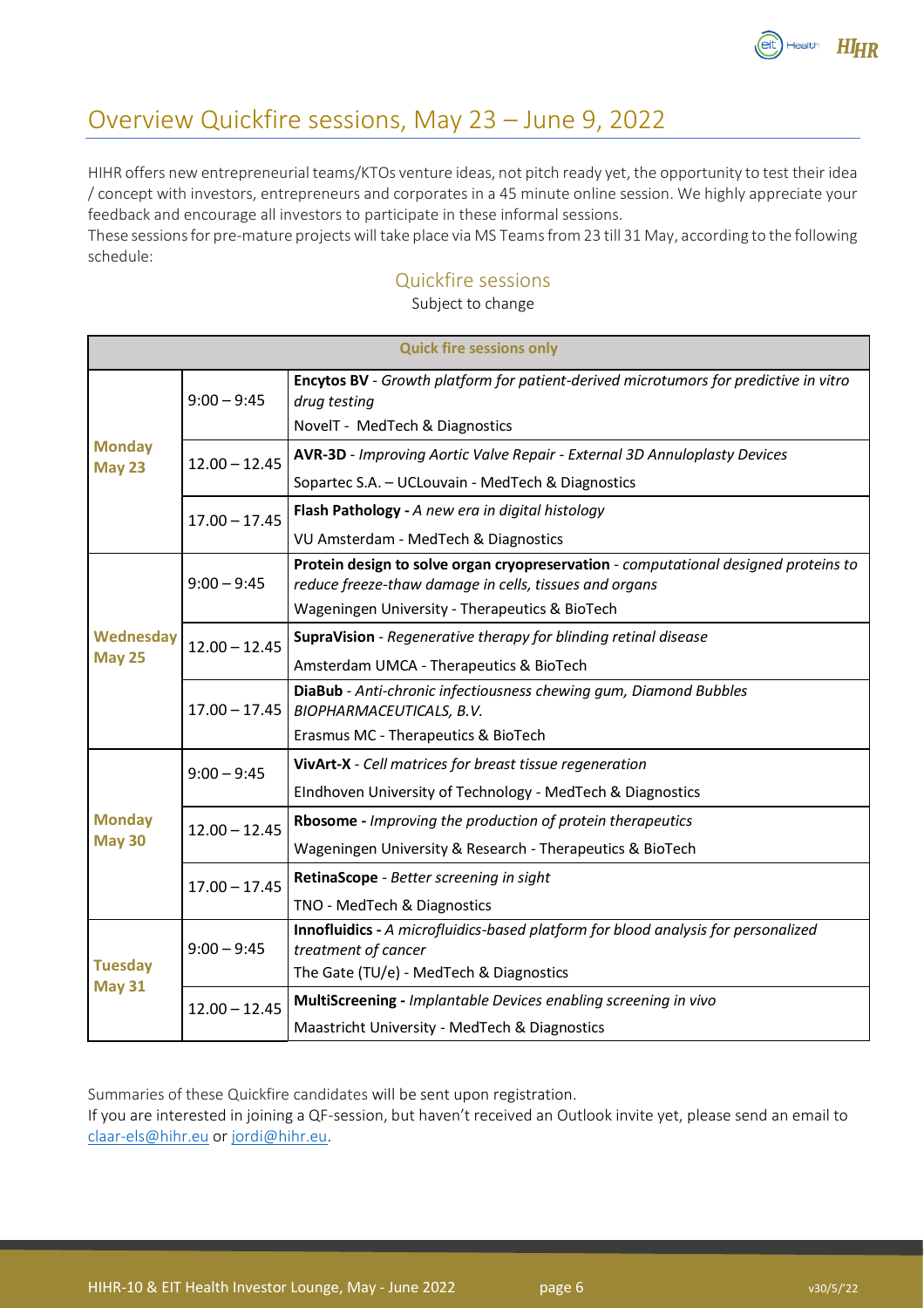

## <span id="page-5-0"></span>Overview Quickfire sessions, May 23 – June 9, 2022

HIHR offers new entrepreneurial teams/KTOs venture ideas, not pitch ready yet, the opportunity to test their idea / concept with investors, entrepreneurs and corporates in a 45 minute online session. We highly appreciate your feedback and encourage all investors to participate in these informal sessions.

These sessions for pre-mature projects will take place via MS Teams from 23 till 31 May, according to the following schedule:

### Quickfire sessions

Subject to change

| <b>Quick fire sessions only</b> |                 |                                                                                                                                                                                                 |  |  |
|---------------------------------|-----------------|-------------------------------------------------------------------------------------------------------------------------------------------------------------------------------------------------|--|--|
| <b>Monday</b><br><b>May 23</b>  | $9:00 - 9:45$   | Encytos BV - Growth platform for patient-derived microtumors for predictive in vitro<br>drug testing<br>NovelT - MedTech & Diagnostics                                                          |  |  |
|                                 | $12.00 - 12.45$ | AVR-3D - Improving Aortic Valve Repair - External 3D Annuloplasty Devices<br>Sopartec S.A. - UCLouvain - MedTech & Diagnostics                                                                  |  |  |
|                                 | $17.00 - 17.45$ | Flash Pathology - A new era in digital histology<br>VU Amsterdam - MedTech & Diagnostics                                                                                                        |  |  |
| Wednesday<br><b>May 25</b>      | $9:00 - 9:45$   | Protein design to solve organ cryopreservation - computational designed proteins to<br>reduce freeze-thaw damage in cells, tissues and organs<br>Wageningen University - Therapeutics & BioTech |  |  |
|                                 | $12.00 - 12.45$ | SupraVision - Regenerative therapy for blinding retinal disease<br>Amsterdam UMCA - Therapeutics & BioTech                                                                                      |  |  |
|                                 | $17.00 - 17.45$ | DiaBub - Anti-chronic infectiousness chewing gum, Diamond Bubbles<br>BIOPHARMACEUTICALS, B.V.<br>Erasmus MC - Therapeutics & BioTech                                                            |  |  |
| <b>Monday</b><br><b>May 30</b>  | $9:00 - 9:45$   | VivArt-X - Cell matrices for breast tissue regeneration<br>EIndhoven University of Technology - MedTech & Diagnostics                                                                           |  |  |
|                                 | $12.00 - 12.45$ | Rbosome - Improving the production of protein therapeutics<br>Wageningen University & Research - Therapeutics & BioTech                                                                         |  |  |
|                                 | $17.00 - 17.45$ | RetinaScope - Better screening in sight<br>TNO - MedTech & Diagnostics                                                                                                                          |  |  |
| <b>Tuesday</b><br><b>May 31</b> | $9:00 - 9:45$   | Innofluidics - A microfluidics-based platform for blood analysis for personalized<br>treatment of cancer<br>The Gate (TU/e) - MedTech & Diagnostics                                             |  |  |
|                                 | $12.00 - 12.45$ | MultiScreening - Implantable Devices enabling screening in vivo<br>Maastricht University - MedTech & Diagnostics                                                                                |  |  |

Summaries of these Quickfire candidates will be sent upon registration.

If you are interested in joining a QF-session, but haven't received an Outlook invite yet, please send an email to [claar-els@hihr.eu](mailto:claar-els@hihr.eu) or [jordi@hihr.eu.](mailto:jordi@hihr.eu)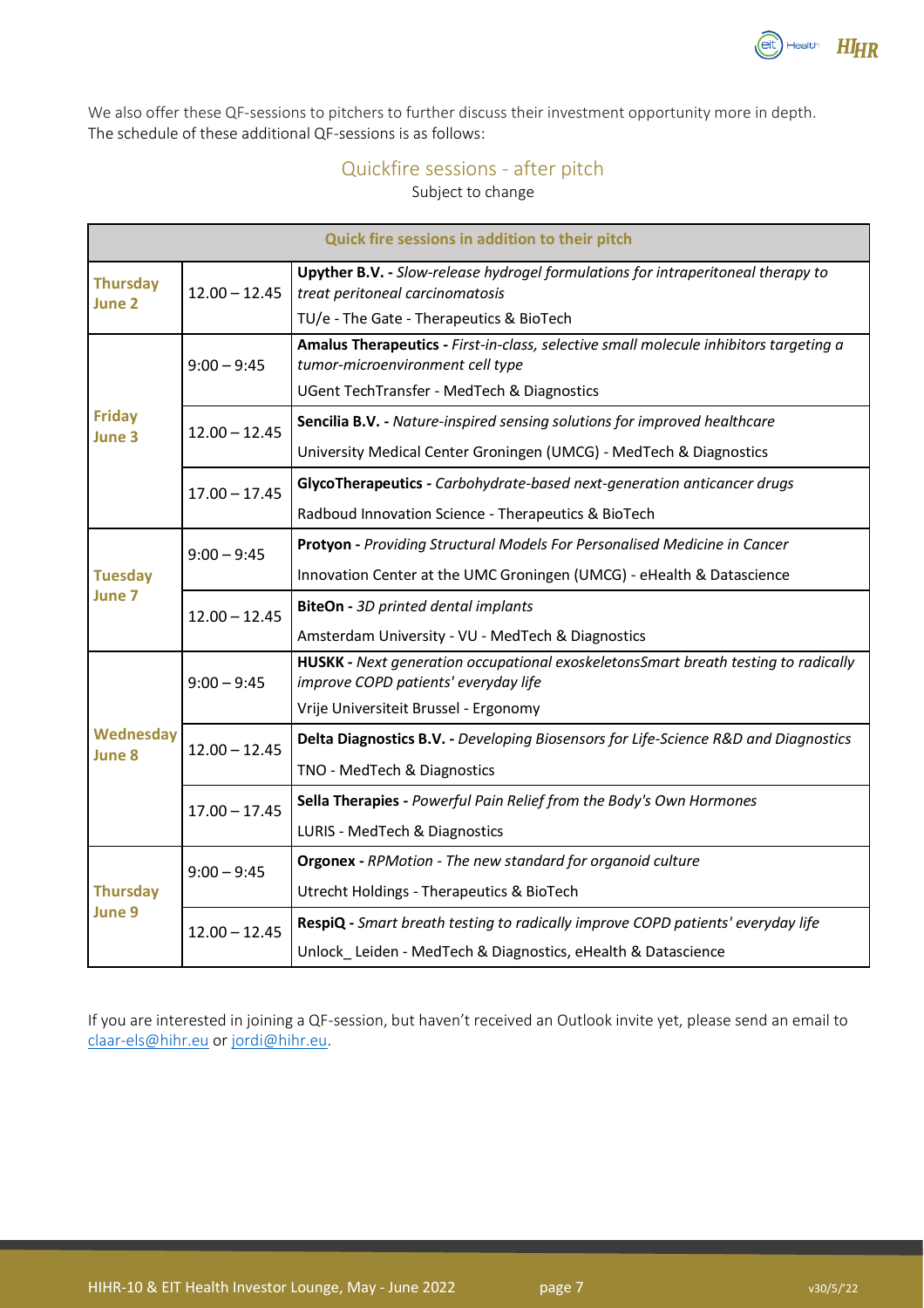

We also offer these QF-sessions to pitchers to further discuss their investment opportunity more in depth. The schedule of these additional QF-sessions is as follows:

### Quickfire sessions - after pitch

Subject to change

| Quick fire sessions in addition to their pitch |                 |                                                                                                                            |  |  |
|------------------------------------------------|-----------------|----------------------------------------------------------------------------------------------------------------------------|--|--|
| <b>Thursday</b><br>June 2                      | $12.00 - 12.45$ | Upyther B.V. - Slow-release hydrogel formulations for intraperitoneal therapy to<br>treat peritoneal carcinomatosis        |  |  |
|                                                |                 | TU/e - The Gate - Therapeutics & BioTech                                                                                   |  |  |
| <b>Friday</b><br>June 3                        | $9:00 - 9:45$   | Amalus Therapeutics - First-in-class, selective small molecule inhibitors targeting a<br>tumor-microenvironment cell type  |  |  |
|                                                |                 | UGent TechTransfer - MedTech & Diagnostics                                                                                 |  |  |
|                                                | $12.00 - 12.45$ | Sencilia B.V. - Nature-inspired sensing solutions for improved healthcare                                                  |  |  |
|                                                |                 | University Medical Center Groningen (UMCG) - MedTech & Diagnostics                                                         |  |  |
|                                                | $17.00 - 17.45$ | GlycoTherapeutics - Carbohydrate-based next-generation anticancer drugs                                                    |  |  |
|                                                |                 | Radboud Innovation Science - Therapeutics & BioTech                                                                        |  |  |
|                                                | $9:00 - 9:45$   | Protyon - Providing Structural Models For Personalised Medicine in Cancer                                                  |  |  |
| <b>Tuesday</b><br>June 7                       |                 | Innovation Center at the UMC Groningen (UMCG) - eHealth & Datascience                                                      |  |  |
|                                                | $12.00 - 12.45$ | <b>BiteOn</b> - 3D printed dental implants                                                                                 |  |  |
|                                                |                 | Amsterdam University - VU - MedTech & Diagnostics                                                                          |  |  |
| <b>Wednesday</b><br>June 8                     | $9:00 - 9:45$   | HUSKK - Next generation occupational exoskeletonsSmart breath testing to radically<br>improve COPD patients' everyday life |  |  |
|                                                |                 | Vrije Universiteit Brussel - Ergonomy                                                                                      |  |  |
|                                                | $12.00 - 12.45$ | Delta Diagnostics B.V. - Developing Biosensors for Life-Science R&D and Diagnostics                                        |  |  |
|                                                |                 | TNO - MedTech & Diagnostics                                                                                                |  |  |
|                                                | $17.00 - 17.45$ | Sella Therapies - Powerful Pain Relief from the Body's Own Hormones                                                        |  |  |
|                                                |                 | LURIS - MedTech & Diagnostics                                                                                              |  |  |
| <b>Thursday</b><br>June 9                      | $9:00 - 9:45$   | Orgonex - RPMotion - The new standard for organoid culture                                                                 |  |  |
|                                                |                 | <b>Utrecht Holdings - Therapeutics &amp; BioTech</b>                                                                       |  |  |
|                                                | $12.00 - 12.45$ | RespiQ - Smart breath testing to radically improve COPD patients' everyday life                                            |  |  |
|                                                |                 | Unlock Leiden - MedTech & Diagnostics, eHealth & Datascience                                                               |  |  |

If you are interested in joining a QF-session, but haven't received an Outlook invite yet, please send an email to [claar-els@hihr.eu](mailto:claar-els@hihr.eu) or [jordi@hihr.eu.](mailto:jordi@hihr.eu)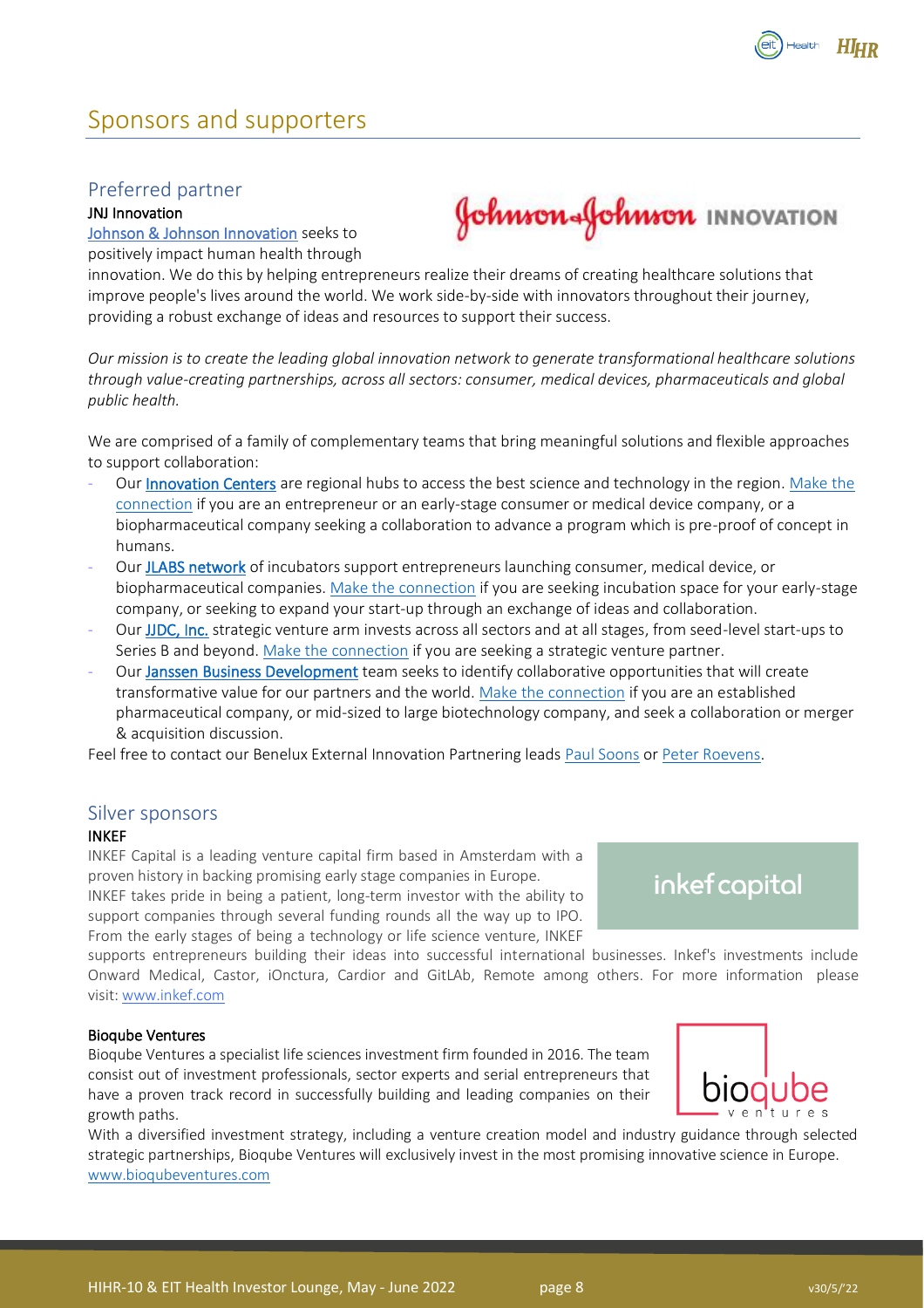

## <span id="page-7-0"></span>Sponsors and supporters

### <span id="page-7-1"></span>Preferred partner

### JNJ Innovation

[Johnson & Johnson Innovation](https://jnjinnovation.com/) seeks to positively impact human health through **Johnson Johnson** INNOVATION

innovation. We do this by helping entrepreneurs realize their dreams of creating healthcare solutions that improve people's lives around the world. We work side-by-side with innovators throughout their journey, providing a robust exchange of ideas and resources to support their success.

*Our mission is to create the leading global innovation network to generate transformational healthcare solutions through value-creating partnerships, across all sectors: consumer, medical devices, pharmaceuticals and global public health.*

We are comprised of a family of complementary teams that bring meaningful solutions and flexible approaches to support collaboration:

- Our [Innovation Centers](https://jnjinnovation.com/innovation-centers) are regional hubs to access the best science and technology in the region. Make the [connection](https://jnjinnovation.com/sites/jji/files/21_11_01_JJI_Regional_Flyers_EMEA.pdf) if you are an entrepreneur or an early-stage consumer or medical device company, or a biopharmaceutical company seeking a collaboration to advance a program which is pre-proof of concept in humans.
- Our [JLABS network](https://jlabs.jnjinnovation.com/) of incubators support entrepreneurs launching consumer, medical device, or biopharmaceutical companies. [Make the connection](https://jlabsresidency.smapply.io/) if you are seeking incubation space for your early-stage company, or seeking to expand your start-up through an exchange of ideas and collaboration.
- Our [JJDC, Inc.](https://jnjinnovation.com/jjdc) strategic venture arm invests across all sectors and at all stages, from seed-level start-ups to Series B and beyond. [Make the connection](https://jnjinnovation.com/sites/jji/files/21_11_01_JJI_Regional_Flyers_EMEA.pdf) if you are seeking a strategic venture partner.
- Our [Janssen Business Development](https://jnjinnovation.com/janssenbusinessdevelopment) team seeks to identify collaborative opportunities that will create transformative value for our partners and the world. [Make the connection](https://jnjinnovation.com/sites/jji/files/21_11_01_JJI_Regional_Flyers_EMEA.pdf) if you are an established pharmaceutical company, or mid-sized to large biotechnology company, and seek a collaboration or merger & acquisition discussion.

Feel free to contact our Benelux External Innovation Partnering leads [Paul Soons](mailto:psoons@its.jnj.com) or [Peter Roevens.](mailto:proevens@its.jnj.com)

### <span id="page-7-2"></span>Silver sponsors

### INKEF

INKEF Capital is a leading venture capital firm based in Amsterdam with a proven history in backing promising early stage companies in Europe. INKEF takes pride in being a patient, long-term investor with the ability to support companies through several funding rounds all the way up to IPO.

From the early stages of being a technology or life science venture, INKEF

inkef capital

supports entrepreneurs building their ideas into successful international businesses. Inkef's investments include Onward Medical, Castor, iOnctura, Cardior and GitLAb, Remote among others. For more information please visit: [www.inkef.com](https://www.inkefcapital.com/)

### Bioqube Ventures

ׇ֚֬֕

Bioqube Ventures a specialist life sciences investment firm founded in 2016. The team consist out of investment professionals, sector experts and serial entrepreneurs that have a proven track record in successfully building and leading companies on their growth paths.



With a diversified investment strategy, including a venture creation model and industry guidance through selected strategic partnerships, Bioqube Ventures will exclusively invest in the most promising innovative science in Europe. [www.bioqubeventures.com](http://www.bioqubeventures.com/)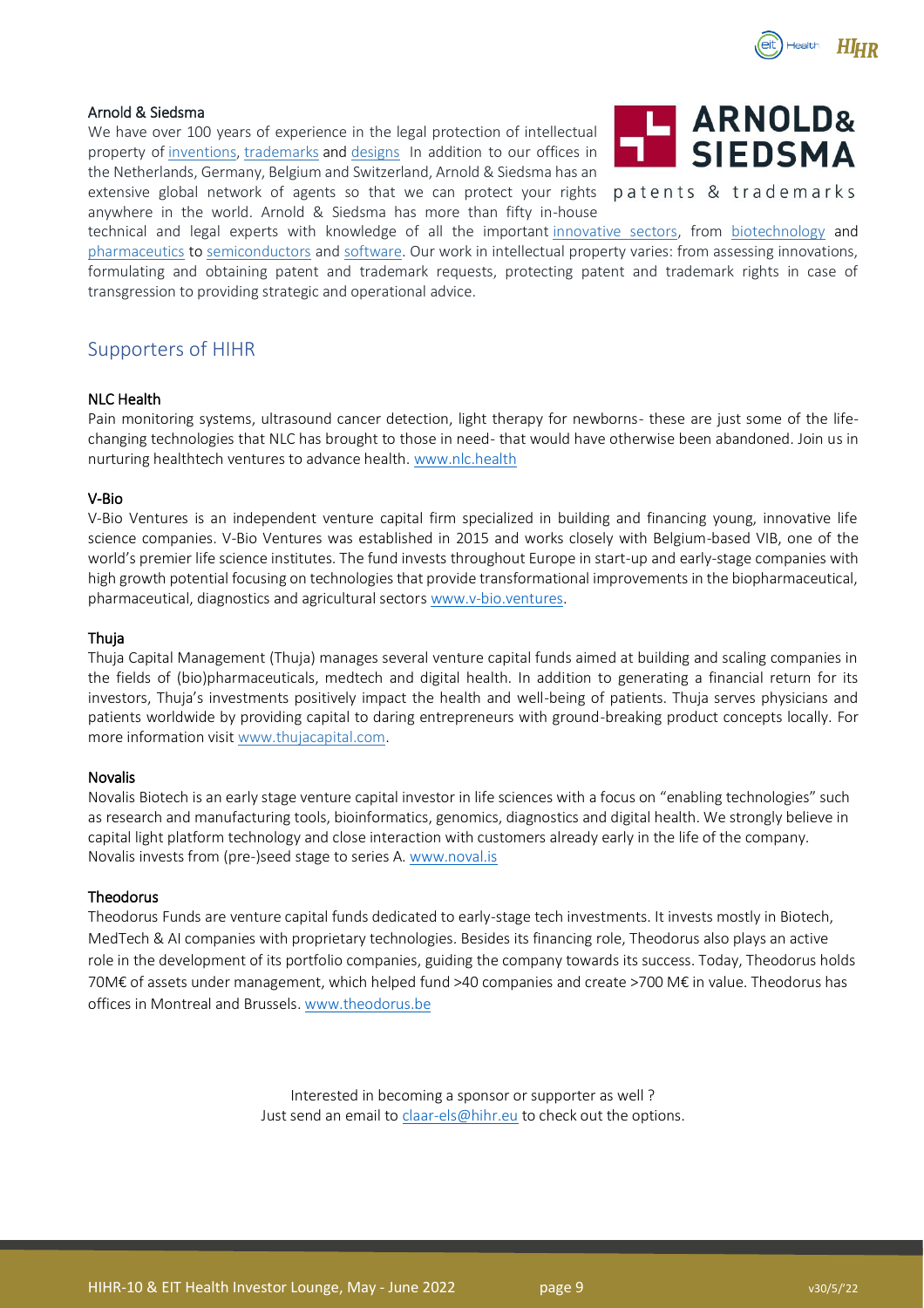

### Arnold & Siedsma

We have over 100 years of experience in the legal protection of intellectual property of [inventions,](https://www.arnold-siedsma.com/services/patents/) [trademarks](https://www.arnold-siedsma.com/services/trademarks/) and [designs](https://www.arnold-siedsma.com/services/designs/) In addition to our offices in the Netherlands, Germany, Belgium and Switzerland, Arnold & Siedsma has an extensive global network of agents so that we can protect your rights anywhere in the world. Arnold & Siedsma has more than fifty in-house



patents & trademarks

technical and legal experts with knowledge of all the important [innovative sectors,](https://www.arnold-siedsma.com/sectors/) from [biotechnology](https://www.arnold-siedsma.com/sectors/biotechnology-food/) and [pharmaceutics](https://www.arnold-siedsma.com/expertise/chemistry-pharmacy) to [semiconductors](https://www.arnold-siedsma.com/expertise/electrical-engineering-physics) and [software.](https://www.arnold-siedsma.com/expertise/software) Our work in intellectual property varies: from assessing innovations, formulating and obtaining patent and trademark requests, protecting patent and trademark rights in case of transgression to providing strategic and operational advice.

### <span id="page-8-0"></span>Supporters of HIHR

### NLC Health

Pain monitoring systems, ultrasound cancer detection, light therapy for newborns- these are just some of the lifechanging technologies that NLC has brought to those in need- that would have otherwise been abandoned. Join us in nurturing healthtech ventures to advance health. [www.nlc.health](http://www.nlc.health/)

#### V-Bio

V-Bio Ventures is an independent venture capital firm specialized in building and financing young, innovative life science companies. V-Bio Ventures was established in 2015 and works closely with Belgium-based VIB, one of the world's premier life science institutes. The fund invests throughout Europe in start-up and early-stage companies with high growth potential focusing on technologies that provide transformational improvements in the biopharmaceutical, pharmaceutical, diagnostics and agricultural sector[s www.v-bio.ventures.](http://www.v-bio.ventures/)

### Thuja

Thuja Capital Management (Thuja) manages several venture capital funds aimed at building and scaling companies in the fields of (bio)pharmaceuticals, medtech and digital health. In addition to generating a financial return for its investors, Thuja's investments positively impact the health and well-being of patients. Thuja serves physicians and patients worldwide by providing capital to daring entrepreneurs with ground-breaking product concepts locally. For more information visit [www.thujacapital.com.](http://www.thujacapital.com/)

### Novalis

Novalis Biotech is an early stage venture capital investor in life sciences with a focus on "enabling technologies" such as research and manufacturing tools, bioinformatics, genomics, diagnostics and digital health. We strongly believe in capital light platform technology and close interaction with customers already early in the life of the company. Novalis invests from (pre-)seed stage to series A. [www.noval.is](http://www.noval.is/)

### Theodorus

Theodorus Funds are venture capital funds dedicated to early-stage tech investments. It invests mostly in Biotech, MedTech & AI companies with proprietary technologies. Besides its financing role, Theodorus also plays an active role in the development of its portfolio companies, guiding the company towards its success. Today, Theodorus holds 70M€ of assets under management, which helped fund >40 companies and create >700 M€ in value. Theodorus has offices in Montreal and Brussels. [www.theodorus.be](http://www.theodorus.be/)

> Interested in becoming a sponsor or supporter as well ? Just send an email to [claar-els@hihr.eu](mailto:claar-els@hihr.eu) to check out the options.